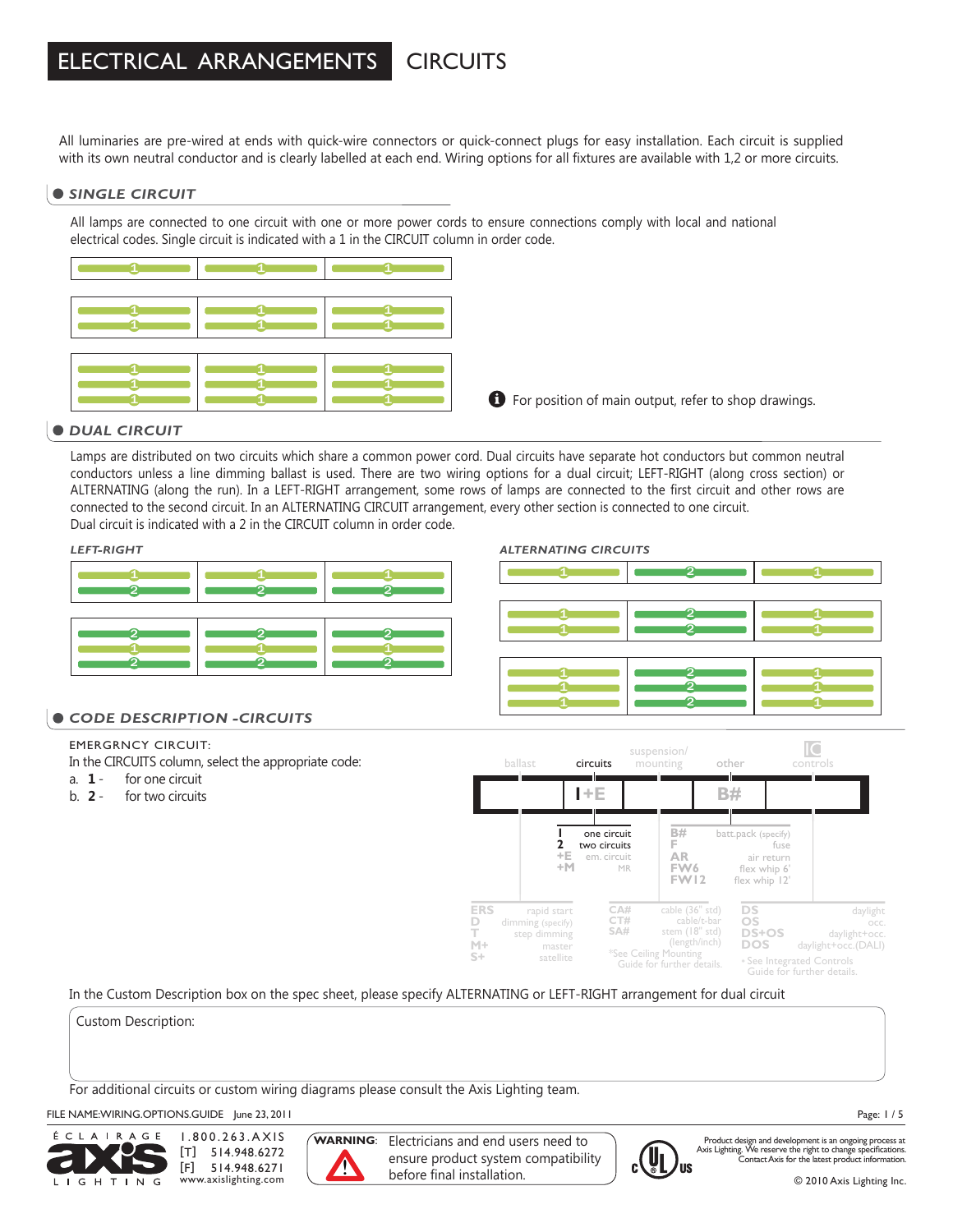#### ELECTRICAL ARRANGEMENTS **CIRCUITS**

All luminaries are pre-wired at ends with quick-wire connectors or quick-connect plugs for easy installation. Each circuit is supplied with its own neutral conductor and is clearly labelled at each end. Wiring options for all fixtures are available with 1,2 or more circuits.

### *SINGLE CIRCUIT*

All lamps are connected to one circuit with one or more power cords to ensure connections comply with local and national electrical codes. Single circuit is indicated with a 1 in the CIRCUIT column in order code.



### $\bullet$  DUAL CIRCUIT

Lamps are distributed on two circuits which share a common power cord. Dual circuits have separate hot conductors but common neutral conductors unless a line dimming ballast is used. There are two wiring options for a dual circuit; LEFT-RIGHT (along cross section) or ALTERNATING (along the run). In a LEFT-RIGHT arrangement, some rows of lamps are connected to the first circuit and other rows are connected to the second circuit. In an ALTERNATING CIRCUIT arrangement, every other section is connected to one circuit. Dual circuit is indicated with a 2 in the CIRCUIT column in order code.

### *LEFT-RIGHT ALTERNATING CIRCUITS*



#### 1 1 1 1 1 1 1 1 1 1 1 1  $\overline{2}$ 2  $\mathcal{\mathcal{P}}$ 2 2 2

### $\bullet$  CODE DESCRIPTION -CIRCUITS

### EMERGRNCY CIRCUIT:

In the CIRCUITS column, select the appropriate code:

- a. **1** for one circuit
- b. **2** for two circuits



### In the Custom Description box on the spec sheet, please specify ALTERNATING or LEFT-RIGHT arrangement for dual circuit

Custom Description:

For additional circuits or custom wiring diagrams please consult the Axis Lighting team.

### FILE NAME: WIRING.OPTIONS.GUIDE June 23, 2011



1.800.263.AXIS [T] 514.948.6272 [F] 514.948.6271 www.axislighting.com



**WARNING**: Electricians and end users need to ensure product system compatibility before final installation.



Product design and development is an ongoing process at Axis Lighting. We reserve the right to change specifications. Contact Axis for the latest product information.

Page: 1 / 5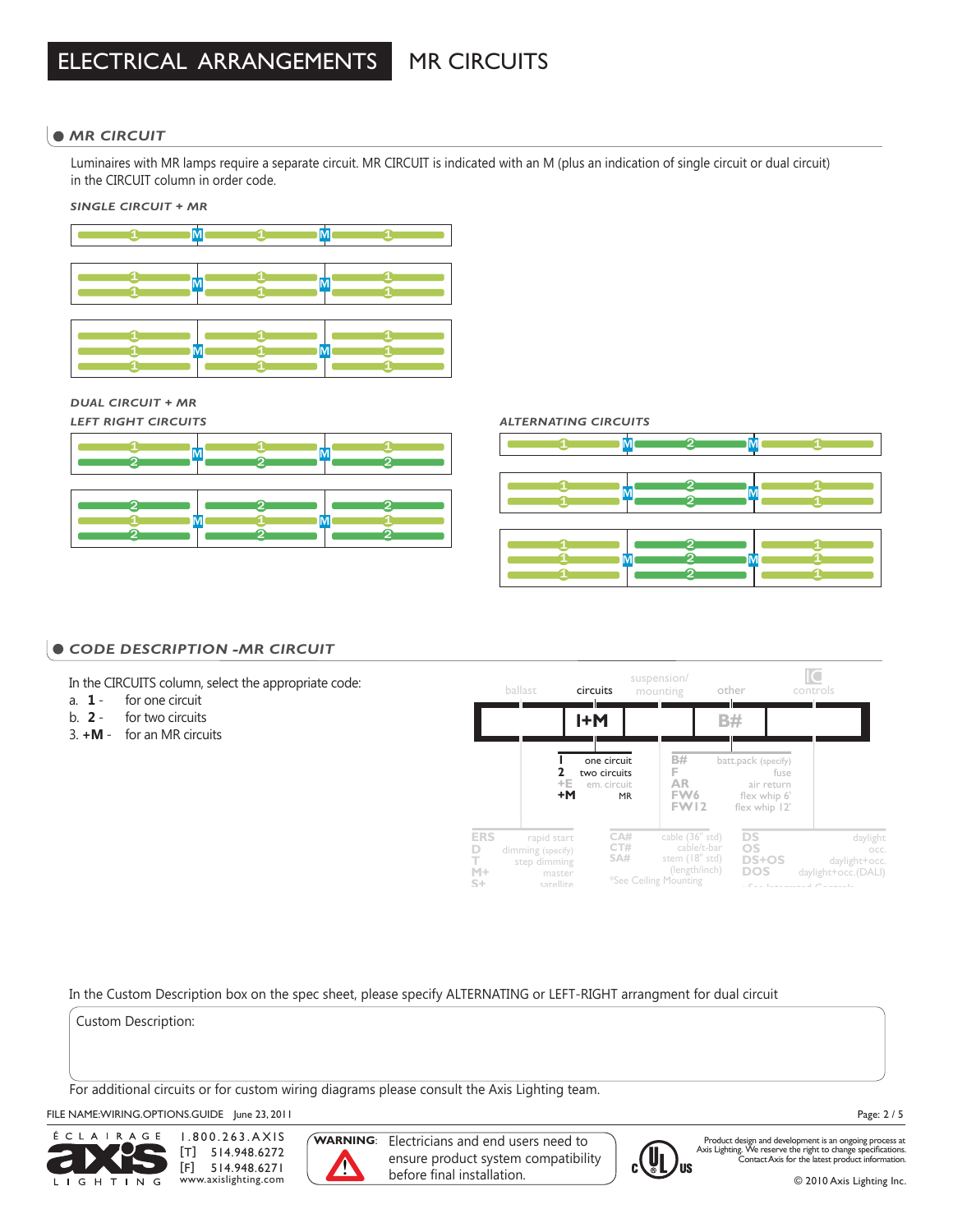# MR CIRCUITS

### **• MR CIRCUIT**

Luminaires with MR lamps require a separate circuit. MR CIRCUIT is indicated with an M (plus an indication of single circuit or dual circuit) in the CIRCUIT column in order code.

*SINGLE CIRCUIT + MR*



*DUAL CIRCUIT + MR*







### $\bullet$  CODE DESCRIPTION -MR CIRCUIT

In the CIRCUITS column, select the appropriate code:

- a. **1** for one circuit
- b. **2** for two circuits
- 3. **+M** for an MR circuits



In the Custom Description box on the spec sheet, please specify ALTERNATING or LEFT-RIGHT arrangment for dual circuit

Custom Description:

For additional circuits or for custom wiring diagrams please consult the Axis Lighting team.

### FILE NAME:WIRING.OPTIONS.GUIDE June 23, 2011



1.800.263.AXIS [T] 514.948.6272 [F] 514.948.6271 www.axislighting.com



**WARNING**: Electricians and end users need to ensure product system compatibility before final installation.



Product design and development is an ongoing process at Axis Lighting. We reserve the right to change specifications. Contact Axis for the latest product information.

Page: 2 / 5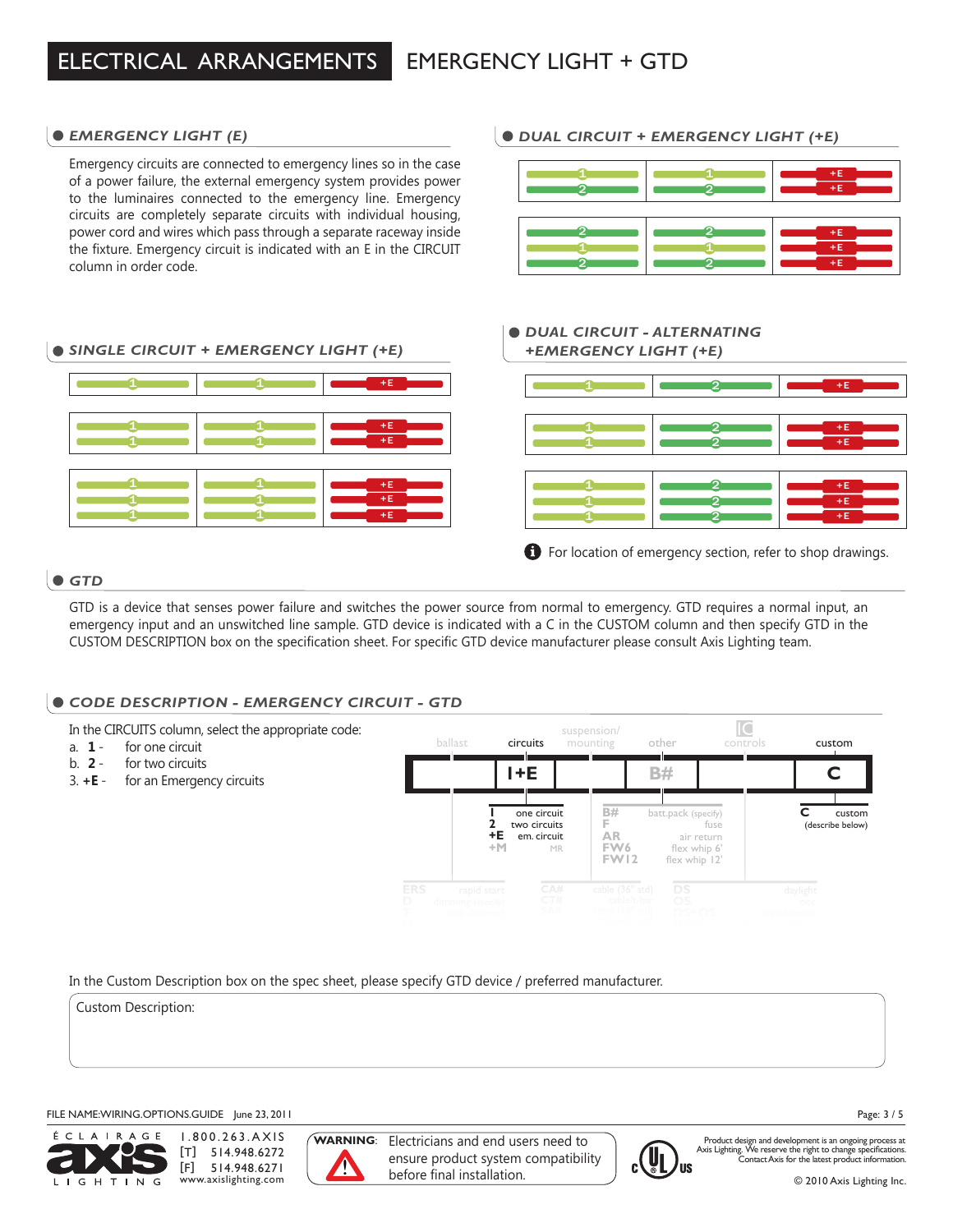### *EMERGENCY LIGHT (E)*

Emergency circuits are connected to emergency lines so in the case of a power failure, the external emergency system provides power to the luminaires connected to the emergency line. Emergency circuits are completely separate circuits with individual housing, power cord and wires which pass through a separate raceway inside the fixture. Emergency circuit is indicated with an E in the CIRCUIT column in order code.

## *SINGLE CIRCUIT + EMERGENCY LIGHT (+E) +EMERGENCY LIGHT (+E)*



## *DUAL CIRCUIT + EMERGENCY LIGHT (+E)*



#### *DUAL CIRCUIT - ALTERNATING*  $+E$ +E +E +E  $\pm$ F  $+E$ 1 1 1 ብ 1 11 2  $\overline{2}$ 2  $\mathbf{p}$ 2 2 **f** For location of emergency section, refer to shop drawings.

### *GTD*

GTD is a device that senses power failure and switches the power source from normal to emergency. GTD requires a normal input, an emergency input and an unswitched line sample. GTD device is indicated with a C in the CUSTOM column and then specify GTD in the CUSTOM DESCRIPTION box on the specification sheet. For specific GTD device manufacturer please consult Axis Lighting team.

## *CODE DESCRIPTION - EMERGENCY CIRCUIT - GTD*



In the Custom Description box on the spec sheet, please specify GTD device / preferred manufacturer.

Custom Description:

### FILE NAME: WIRING.OPTIONS.GUIDE June 23, 2011



1.800.263.AXIS [T] 514.948.6272 [F] 514.948.6271 www.axislighting.com



**WARNING**: Electricians and end users need to ensure product system compatibility before final installation.



Product design and development is an ongoing process at Axis Lighting. We reserve the right to change specifications. Contact Axis for the latest product information.

Page: 3 / 5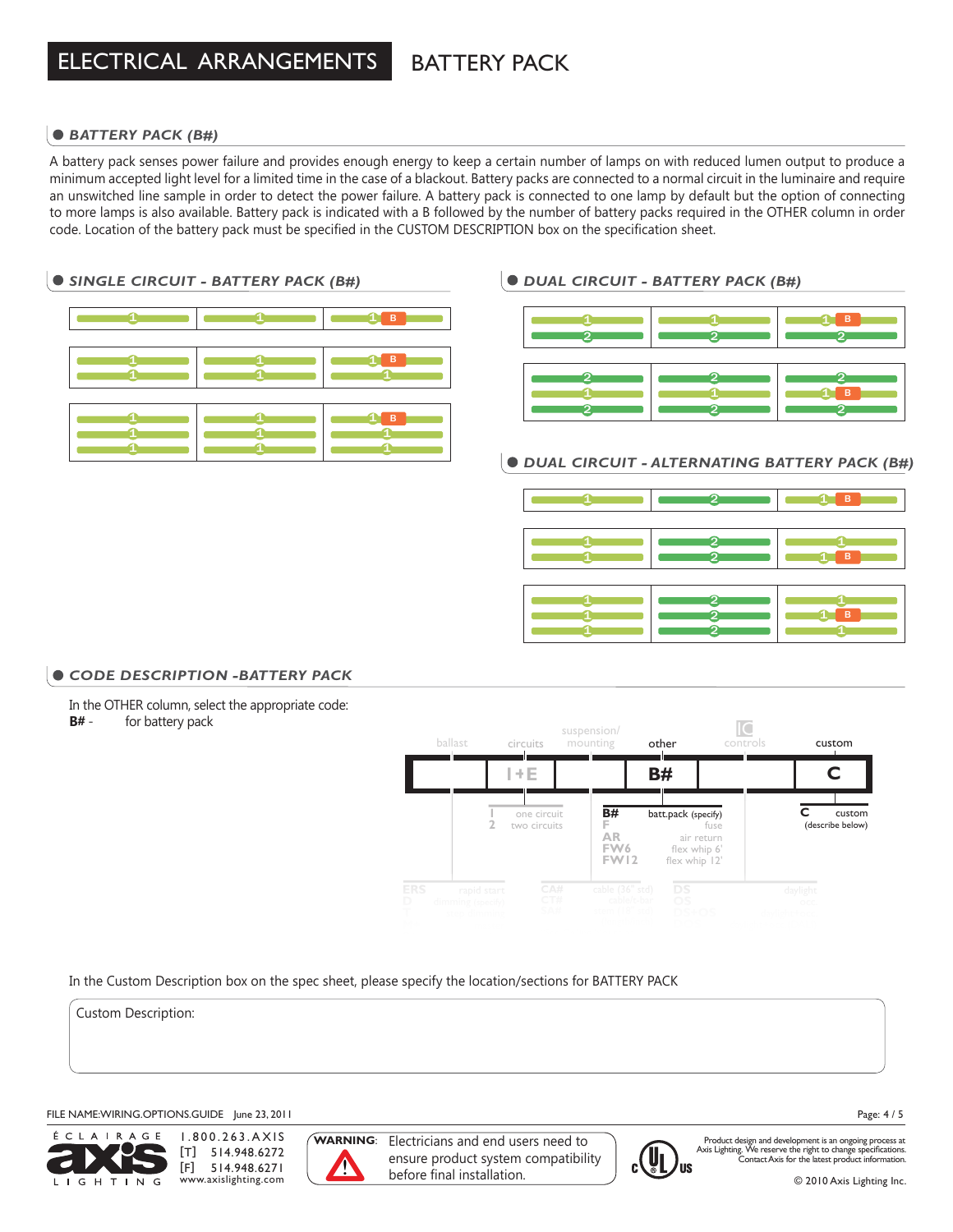# BATTERY PACK

### *BATTERY PACK (B#)*

A battery pack senses power failure and provides enough energy to keep a certain number of lamps on with reduced lumen output to produce a minimum accepted light level for a limited time in the case of a blackout. Battery packs are connected to a normal circuit in the luminaire and require an unswitched line sample in order to detect the power failure. A battery pack is connected to one lamp by default but the option of connecting to more lamps is also available. Battery pack is indicated with a B followed by the number of battery packs required in the OTHER column in order code. Location of the battery pack must be specified in the CUSTOM DESCRIPTION box on the specification sheet.

### *SINGLE CIRCUIT - BATTERY PACK (B#)*

|         | $\blacksquare$ 1 B |
|---------|--------------------|
|         |                    |
| 11<br>п | $\bullet$          |
|         |                    |
|         | <b>B</b>           |
|         |                    |

### *DUAL CIRCUIT - BATTERY PACK (B#)*

|  | в |
|--|---|
|  | в |

### *DUAL CIRCUIT - ALTERNATING BATTERY PACK (B#)*



### *CODE DESCRIPTION -BATTERY PACK*

In the OTHER column, select the appropriate code:

**B#** - for battery pack



In the Custom Description box on the spec sheet, please specify the location/sections for BATTERY PACK

Custom Description:

### FILE NAME: WIRING.OPTIONS.GUIDE June 23, 2011



1.800.263.AXIS [T] 514.948.6272 [F] 514.948.6271 www.axislighting.com



**WARNING**: Electricians and end users need to ensure product system compatibility before final installation.



Product design and development is an ongoing process at Axis Lighting. We reserve the right to change specifications. Contact Axis for the latest product information.

Page: 4 / 5